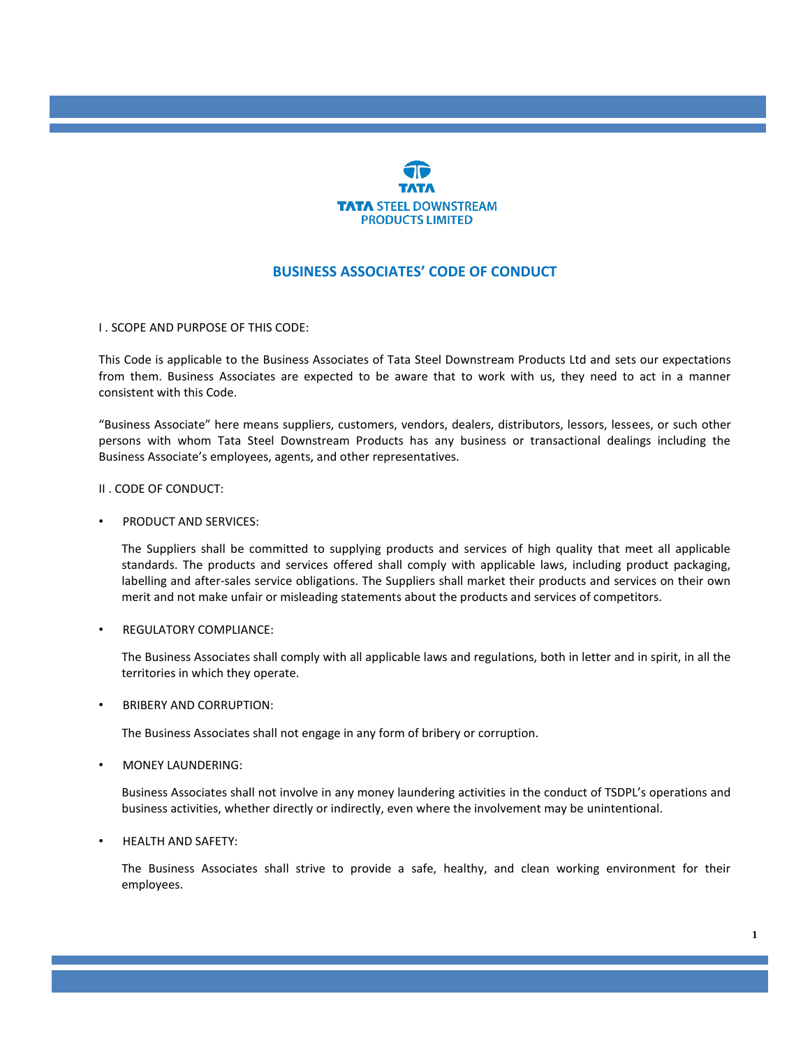

# **BUSINESS ASSOCIATES' CODE OF CONDUCT**

I . SCOPE AND PURPOSE OF THIS CODE:

This Code is applicable to the Business Associates of Tata Steel Downstream Products Ltd and sets our expectations from them. Business Associates are expected to be aware that to work with us, they need to act in a manner consistent with this Code.

"Business Associate" here means suppliers, customers, vendors, dealers, distributors, lessors, lessees, or such other persons with whom Tata Steel Downstream Products has any business or transactional dealings including the Business Associate's employees, agents, and other representatives.

II . CODE OF CONDUCT:

• PRODUCT AND SERVICES:

The Suppliers shall be committed to supplying products and services of high quality that meet all applicable standards. The products and services offered shall comply with applicable laws, including product packaging, labelling and after-sales service obligations. The Suppliers shall market their products and services on their own merit and not make unfair or misleading statements about the products and services of competitors.

 $RFGIII$  ATORY COMPLIANCE:

The Business Associates shall comply with all applicable laws and regulations, both in letter and in spirit, in all the territories in which they operate.

• BRIBERY AND CORRUPTION:

The Business Associates shall not engage in any form of bribery or corruption.

• MONEY LAUNDERING:

Business Associates shall not involve in any money laundering activities in the conduct of TSDPL's operations and business activities, whether directly or indirectly, even where the involvement may be unintentional.

• HEALTH AND SAFETY:

The Business Associates shall strive to provide a safe, healthy, and clean working environment for their employees.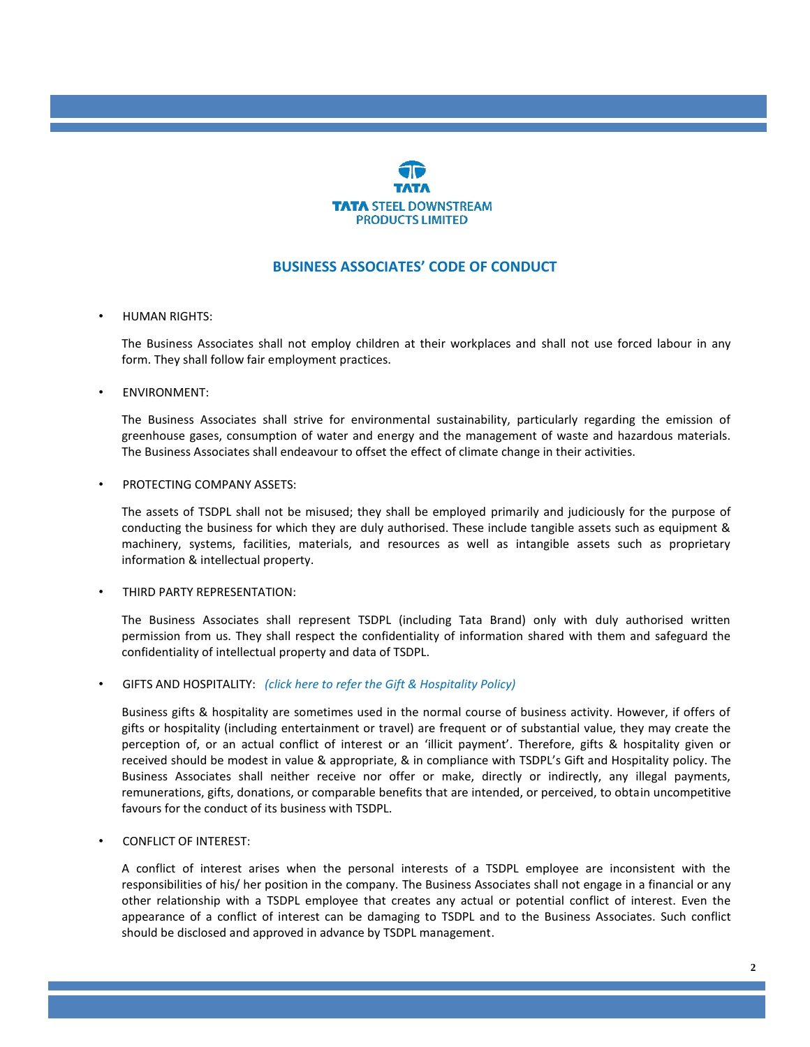

## **BUSINESS ASSOCIATES' CODE OF CONDUCT**

#### • HUMAN RIGHTS:

The Business Associates shall not employ children at their workplaces and shall not use forced labour in any form. They shall follow fair employment practices.

#### • ENVIRONMENT:

The Business Associates shall strive for environmental sustainability, particularly regarding the emission of greenhouse gases, consumption of water and energy and the management of waste and hazardous materials. The Business Associates shall endeavour to offset the effect of climate change in their activities.

#### • PROTECTING COMPANY ASSETS:

The assets of TSDPL shall not be misused; they shall be employed primarily and judiciously for the purpose of conducting the business for which they are duly authorised. These include tangible assets such as equipment & machinery, systems, facilities, materials, and resources as well as intangible assets such as proprietary information & intellectual property.

#### • THIRD PARTY REPRESENTATION:

The Business Associates shall represent TSDPL (including Tata Brand) only with duly authorised written permission from us. They shall respect the confidentiality of information shared with them and safeguard the confidentiality of intellectual property and data of TSDPL.

### • GIFTS AND HOSPITALITY: *([click here to refer the Gift & Hospitality Policy\)](https://www.tsdpl.in/pdf/gift_and_hospitality.pdf)*

Business gifts & hospitality are sometimes used in the normal course of business activity. However, if offers of gifts or hospitality (including entertainment or travel) are frequent or of substantial value, they may create the perception of, or an actual conflict of interest or an 'illicit payment'. Therefore, gifts & hospitality given or received should be modest in value & appropriate, & in compliance with TSDPL's Gift and Hospitality policy. The Business Associates shall neither receive nor offer or make, directly or indirectly, any illegal payments, remunerations, gifts, donations, or comparable benefits that are intended, or perceived, to obtain uncompetitive favours for the conduct of its business with TSDPL.

### • CONFLICT OF INTEREST:

A conflict of interest arises when the personal interests of a TSDPL employee are inconsistent with the responsibilities of his/ her position in the company. The Business Associates shall not engage in a financial or any other relationship with a TSDPL employee that creates any actual or potential conflict of interest. Even the appearance of a conflict of interest can be damaging to TSDPL and to the Business Associates. Such conflict should be disclosed and approved in advance by TSDPL management.